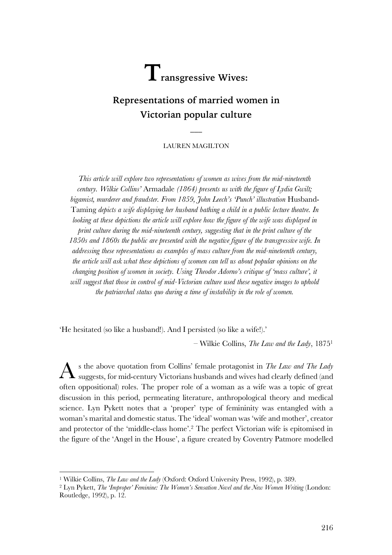# $\mathbf{T}_{\text{ransgressive Wives:}}$

# **Representations of married women in Victorian popular culture**

LAUREN MAGILTON

 $\overline{\phantom{a}}$ 

*This article will explore two representations of women as wives from the mid-nineteenth century. Wilkie Collins'* Armadale *(1864) presents us with the figure of Lydia Gwilt; bigamist, murderer and fraudster. From 1859, John Leech's 'Punch' illustration* Husband-Taming *depicts a wife displaying her husband bathing a child in a public lecture theatre. In looking at these depictions the article will explore how the figure of the wife was displayed in print culture during the mid-nineteenth century, suggesting that in the print culture of the 1850s and 1860s the public are presented with the negative figure of the transgressive wife. In addressing these representations as examples of mass culture from the mid-nineteenth century, the article will ask what these depictions of women can tell us about popular opinions on the changing position of women in society. Using Theodor Adorno's critique of 'mass culture', it will suggest that those in control of mid-Victorian culture used these negative images to uphold the patriarchal status quo during a time of instability in the role of women.*

'He hesitated (so like a husband!). And I persisted (so like a wife!).'

– Wilkie Collins, *The Law and the Lady*, 18751

s the above quotation from Collins' female protagonist in *The Law and The Lady* suggests, for mid-century Victorians husbands and wives had clearly defined (and often oppositional) roles. The proper role of a woman as a wife was a topic of great discussion in this period, permeating literature, anthropological theory and medical science. Lyn Pykett notes that a 'proper' type of femininity was entangled with a woman's marital and domestic status. The 'ideal' woman was 'wife and mother', creator and protector of the 'middle-class home'. <sup>2</sup> The perfect Victorian wife is epitomised in the figure of the 'Angel in the House', a figure created by Coventry Patmore modelled A

<sup>1</sup> Wilkie Collins, *The Law and the Lady* (Oxford: Oxford University Press, 1992), p. 389.

<sup>2</sup> Lyn Pykett, *The 'Improper' Feminine: The Women's Sensation Novel and the New Women Writing* (London: Routledge, 1992), p. 12.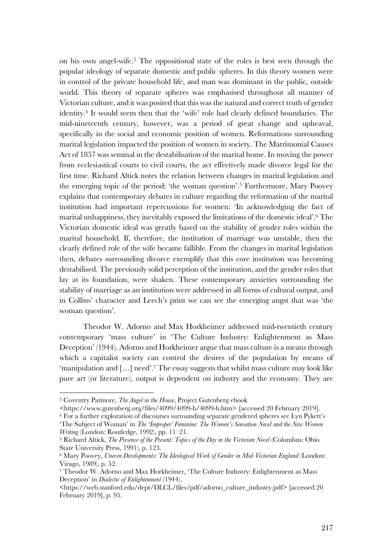on his own angel-wife. <sup>3</sup> The oppositional state of the roles is best seen through the popular ideology of separate domestic and public spheres. In this theory women were in control of the private household life, and man was dominant in the public, outside world. This theory of separate spheres was emphasised throughout all manner of Victorian culture, and it was posited that this was the natural and correct truth of gender identity. <sup>4</sup> It would seem then that the 'wife' role had clearly defined boundaries. The mid-nineteenth century, however, was a period of great change and upheaval, specifically in the social and economic position of women. Reformations surrounding marital legislation impacted the position of women in society. The Matrimonial Causes Act of 1857 was seminal in the destabilisation of the marital home. In moving the power from ecclesiastical courts to civil courts, the act effectively made divorce legal for the first time. Richard Altick notes the relation between changes in marital legislation and the emerging topic of the period: 'the woman question'. <sup>5</sup> Furthermore, Mary Poovey explains that contemporary debates in culture regarding the reformation of the marital institution had important repercussions for women: 'In acknowledging the fact of marital unhappiness, they inevitably exposed the limitations of the domestic ideal'. <sup>6</sup> The Victorian domestic ideal was greatly based on the stability of gender roles within the marital household. If, therefore, the institution of marriage was unstable, then the clearly defined role of the wife became fallible. From the changes in marital legislation then, debates surrounding divorce exemplify that this core institution was becoming destabilised. The previously solid perception of the institution, and the gender roles that lay at its foundation, were shaken. These contemporary anxieties surrounding the stability of marriage as an institution were addressed in all forms of cultural output, and in Collins' character and Leech's print we can see the emerging angst that was 'the woman question'.

Theodor W. Adorno and Max Horkheimer addressed mid-twentieth century contemporary 'mass culture' in 'The Culture Industry: Enlightenment as Mass Deception' (1944). Adorno and Horkheimer argue that mass culture is a means through which a capitalist society can control the desires of the population by means of 'manipulation and […] need'. <sup>7</sup> The essay suggests that whilst mass culture may look like pure art (or literature), output is dependent on industry and the economy. They are

 $\overline{a}$ 

<sup>4</sup> For a further exploration of discourses surrounding separate gendered spheres see Lyn Pykett's 'The Subject of Woman' in *The 'Improper' Feminine: The Women's Sensation Novel and the New Women Writing* (London: Routledge, 1992), pp. 11–21.

<sup>3</sup> Coventry Patmore, *The Angel in the House*, Project Gutenberg ebook

<sup>&</sup>lt;https://www.gutenberg.org/files/4099/4099-h/4099-h.htm> [accessed 20 February 2019].

<sup>5</sup> Richard Altick, *The Presence of the Present: Topics of the Day in the Victorian Novel* (Columbus: Ohio State University Press, 1991), p. 123.

<sup>6</sup> Mary Poovey, *Uneven Developments: The Ideological Work of Gender in Mid-Victorian England* (London: Virago, 1989), p. 52.

<sup>7</sup> Theodor W. Adorno and Max Horkheimer, 'The Culture Industry: Enlightenment as Mass Deception' in *Dialectic of Enlightenment (*1944),

<sup>&</sup>lt;https://web.stanford.edu/dept/DLCL/files/pdf/adorno\_culture\_industry.pdf> [accessed 20 February 2019], p. 95.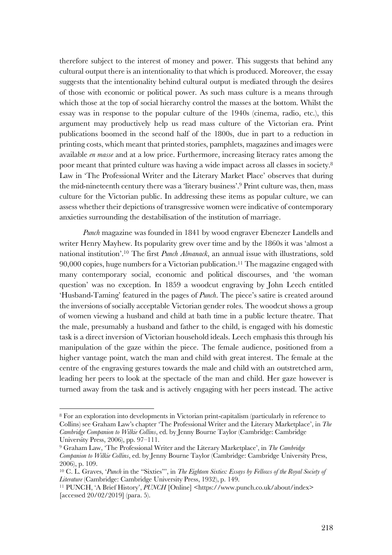therefore subject to the interest of money and power. This suggests that behind any cultural output there is an intentionality to that which is produced. Moreover, the essay suggests that the intentionality behind cultural output is mediated through the desires of those with economic or political power. As such mass culture is a means through which those at the top of social hierarchy control the masses at the bottom. Whilst the essay was in response to the popular culture of the 1940s (cinema, radio, etc.), this argument may productively help us read mass culture of the Victorian era. Print publications boomed in the second half of the 1800s, due in part to a reduction in printing costs, which meant that printed stories, pamphlets, magazines and images were available *en masse* and at a low price. Furthermore, increasing literacy rates among the poor meant that printed culture was having a wide impact across all classes in society.8 Law in 'The Professional Writer and the Literary Market Place' observes that during the mid-nineteenth century there was a 'literary business'. <sup>9</sup> Print culture was, then, mass culture for the Victorian public. In addressing these items as popular culture, we can assess whether their depictions of transgressive women were indicative of contemporary anxieties surrounding the destabilisation of the institution of marriage.

*Punch* magazine was founded in 1841 by wood engraver Ebenezer Landells and writer Henry Mayhew. Its popularity grew over time and by the 1860s it was 'almost a national institution'. <sup>10</sup> The first *Punch Almanack*, an annual issue with illustrations, sold 90,000 copies, huge numbers for a Victorian publication. <sup>11</sup> The magazine engaged with many contemporary social, economic and political discourses, and 'the woman question' was no exception. In 1859 a woodcut engraving by John Leech entitled 'Husband-Taming' featured in the pages of *Punch*. The piece's satire is created around the inversions of socially acceptable Victorian gender roles. The woodcut shows a group of women viewing a husband and child at bath time in a public lecture theatre. That the male, presumably a husband and father to the child, is engaged with his domestic task is a direct inversion of Victorian household ideals. Leech emphasis this through his manipulation of the gaze within the piece. The female audience, positioned from a higher vantage point, watch the man and child with great interest. The female at the centre of the engraving gestures towards the male and child with an outstretched arm, leading her peers to look at the spectacle of the man and child. Her gaze however is turned away from the task and is actively engaging with her peers instead. The active

<sup>8</sup> For an exploration into developments in Victorian print-capitalism (particularly in reference to Collins) see Graham Law's chapter 'The Professional Writer and the Literary Marketplace', in *The Cambridge Companion to Wilkie Collins*, ed. by Jenny Bourne Taylor (Cambridge: Cambridge University Press, 2006), pp. 97–111.

<sup>9</sup> Graham Law, 'The Professional Writer and the Literary Marketplace', in *The Cambridge Companion to Wilkie Collins*, ed. by Jenny Bourne Taylor (Cambridge: Cambridge University Press, 2006), p. 109.

<sup>10</sup> C. L. Graves, '*Punch* in the "Sixties"', in *The Eighteen Sixties: Essays by Fellows of the Royal Society of Literature* (Cambridge: Cambridge University Press, 1932), p. 149.

<sup>11</sup> PUNCH, 'A Brief History', *PUNCH* [Online] <https://www.punch.co.uk/about/index> [accessed 20/02/2019] (para. 5).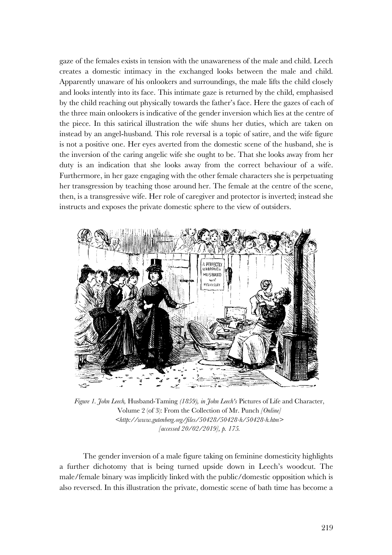gaze of the females exists in tension with the unawareness of the male and child. Leech creates a domestic intimacy in the exchanged looks between the male and child. Apparently unaware of his onlookers and surroundings, the male lifts the child closely and looks intently into its face. This intimate gaze is returned by the child, emphasised by the child reaching out physically towards the father's face. Here the gazes of each of the three main onlookers is indicative of the gender inversion which lies at the centre of the piece. In this satirical illustration the wife shuns her duties, which are taken on instead by an angel-husband. This role reversal is a topic of satire, and the wife figure is not a positive one. Her eyes averted from the domestic scene of the husband, she is the inversion of the caring angelic wife she ought to be. That she looks away from her duty is an indication that she looks away from the correct behaviour of a wife. Furthermore, in her gaze engaging with the other female characters she is perpetuating her transgression by teaching those around her. The female at the centre of the scene, then, is a transgressive wife. Her role of caregiver and protector is inverted; instead she instructs and exposes the private domestic sphere to the view of outsiders.



*Figure 1. John Leech,* Husband-Taming *(1859), in John Leech's* Pictures of Life and Character, Volume 2 (of 3): From the Collection of Mr. Punch *[Online] <http://www.gutenberg.org/files/50428/50428-h/50428-h.htm> [accessed 20/02/2019], p. 175.*

The gender inversion of a male figure taking on feminine domesticity highlights a further dichotomy that is being turned upside down in Leech's woodcut. The male/female binary was implicitly linked with the public/domestic opposition which is also reversed. In this illustration the private, domestic scene of bath time has become a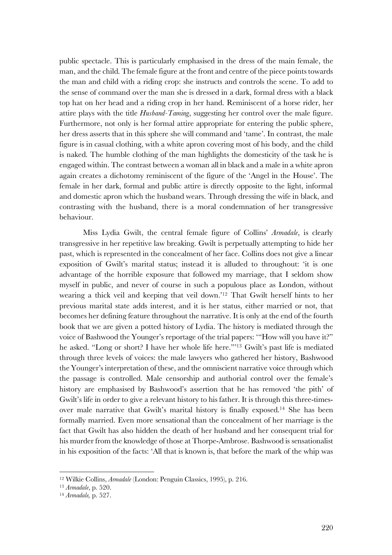public spectacle. This is particularly emphasised in the dress of the main female, the man, and the child. The female figure at the front and centre of the piece points towards the man and child with a riding crop: she instructs and controls the scene. To add to the sense of command over the man she is dressed in a dark, formal dress with a black top hat on her head and a riding crop in her hand. Reminiscent of a horse rider, her attire plays with the title *Husband-Taming*, suggesting her control over the male figure. Furthermore, not only is her formal attire appropriate for entering the public sphere, her dress asserts that in this sphere she will command and 'tame'. In contrast, the male figure is in casual clothing, with a white apron covering most of his body, and the child is naked. The humble clothing of the man highlights the domesticity of the task he is engaged within. The contrast between a woman all in black and a male in a white apron again creates a dichotomy reminiscent of the figure of the 'Angel in the House'. The female in her dark, formal and public attire is directly opposite to the light, informal and domestic apron which the husband wears. Through dressing the wife in black, and contrasting with the husband, there is a moral condemnation of her transgressive behaviour.

Miss Lydia Gwilt, the central female figure of Collins' *Armadale*, is clearly transgressive in her repetitive law breaking. Gwilt is perpetually attempting to hide her past, which is represented in the concealment of her face. Collins does not give a linear exposition of Gwilt's marital status; instead it is alluded to throughout: 'it is one advantage of the horrible exposure that followed my marriage, that I seldom show myself in public, and never of course in such a populous place as London, without wearing a thick veil and keeping that veil down.'12 That Gwilt herself hints to her previous marital state adds interest, and it is her status, either married or not, that becomes her defining feature throughout the narrative. It is only at the end of the fourth book that we are given a potted history of Lydia. The history is mediated through the voice of Bashwood the Younger's reportage of the trial papers: '"How will you have it?" he asked. "Long or short? I have her whole life here."'13 Gwilt's past life is mediated through three levels of voices: the male lawyers who gathered her history, Bashwood the Younger's interpretation of these, and the omniscient narrative voice through which the passage is controlled. Male censorship and authorial control over the female's history are emphasised by Bashwood's assertion that he has removed 'the pith' of Gwilt's life in order to give a relevant history to his father. It is through this three-timesover male narrative that Gwilt's marital history is finally exposed.14 She has been formally married. Even more sensational than the concealment of her marriage is the fact that Gwilt has also hidden the death of her husband and her consequent trial for his murder from the knowledge of those at Thorpe-Ambrose. Bashwood is sensationalist in his exposition of the facts: 'All that is known is, that before the mark of the whip was

<sup>12</sup> Wilkie Collins, *Armadale* (London: Penguin Classics, 1995), p. 216.

<sup>13</sup> *Armadale*, p. 520.

<sup>14</sup> *Armadale,* p. 527.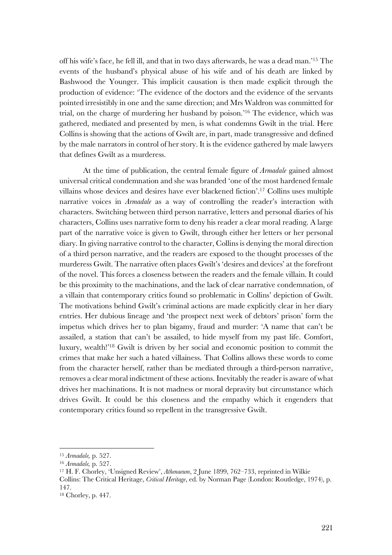off his wife's face, he fell ill, and that in two days afterwards, he was a dead man.' <sup>15</sup> The events of the husband's physical abuse of his wife and of his death are linked by Bashwood the Younger. This implicit causation is then made explicit through the production of evidence: 'The evidence of the doctors and the evidence of the servants pointed irresistibly in one and the same direction; and Mrs Waldron was committed for trial, on the charge of murdering her husband by poison.' <sup>16</sup> The evidence, which was gathered, mediated and presented by men, is what condemns Gwilt in the trial. Here Collins is showing that the actions of Gwilt are, in part, made transgressive and defined by the male narrators in control of her story. It is the evidence gathered by male lawyers that defines Gwilt as a murderess.

At the time of publication, the central female figure of *Armadale* gained almost universal critical condemnation and she was branded 'one of the most hardened female villains whose devices and desires have ever blackened fiction'. <sup>17</sup> Collins uses multiple narrative voices in *Armadale* as a way of controlling the reader's interaction with characters. Switching between third person narrative, letters and personal diaries of his characters, Collins uses narrative form to deny his reader a clear moral reading. A large part of the narrative voice is given to Gwilt, through either her letters or her personal diary. In giving narrative control to the character, Collins is denying the moral direction of a third person narrative, and the readers are exposed to the thought processes of the murderess Gwilt. The narrative often places Gwilt's 'desires and devices' at the forefront of the novel. This forces a closeness between the readers and the female villain. It could be this proximity to the machinations, and the lack of clear narrative condemnation, of a villain that contemporary critics found so problematic in Collins' depiction of Gwilt. The motivations behind Gwilt's criminal actions are made explicitly clear in her diary entries. Her dubious lineage and 'the prospect next week of debtors' prison' form the impetus which drives her to plan bigamy, fraud and murder: 'A name that can't be assailed, a station that can't be assailed, to hide myself from my past life. Comfort, luxury, wealth!'18 Gwilt is driven by her social and economic position to commit the crimes that make her such a hated villainess. That Collins allows these words to come from the character herself, rather than be mediated through a third-person narrative, removes a clear moral indictment of these actions. Inevitably the reader is aware of what drives her machinations. It is not madness or moral depravity but circumstance which drives Gwilt. It could be this closeness and the empathy which it engenders that contemporary critics found so repellent in the transgressive Gwilt.

<sup>15</sup> *Armadale,* p. 527.

<sup>16</sup> *Armadale,* p. 527.

<sup>17</sup> H. F. Chorley, 'Unsigned Review', *Athenaeum*, 2 June 1899, 762–733, reprinted in Wilkie Collins: The Critical Heritage, *Critical Heritage*, ed. by Norman Page (London: Routledge, 1974), p. 147.

<sup>18</sup> Chorley, p. 447.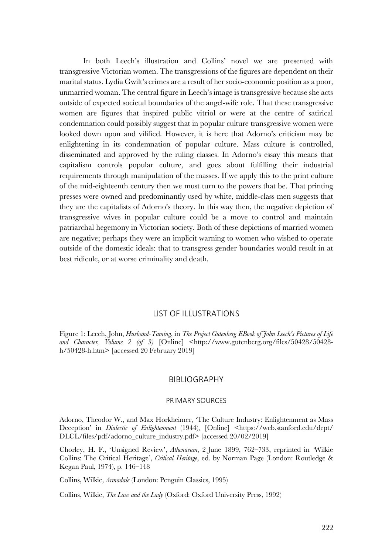In both Leech's illustration and Collins' novel we are presented with transgressive Victorian women. The transgressions of the figures are dependent on their marital status. Lydia Gwilt's crimes are a result of her socio-economic position as a poor, unmarried woman. The central figure in Leech's image is transgressive because she acts outside of expected societal boundaries of the angel-wife role. That these transgressive women are figures that inspired public vitriol or were at the centre of satirical condemnation could possibly suggest that in popular culture transgressive women were looked down upon and vilified. However, it is here that Adorno's criticism may be enlightening in its condemnation of popular culture. Mass culture is controlled, disseminated and approved by the ruling classes. In Adorno's essay this means that capitalism controls popular culture, and goes about fulfilling their industrial requirements through manipulation of the masses. If we apply this to the print culture of the mid-eighteenth century then we must turn to the powers that be. That printing presses were owned and predominantly used by white, middle-class men suggests that they are the capitalists of Adorno's theory. In this way then, the negative depiction of transgressive wives in popular culture could be a move to control and maintain patriarchal hegemony in Victorian society. Both of these depictions of married women are negative; perhaps they were an implicit warning to women who wished to operate outside of the domestic ideals: that to transgress gender boundaries would result in at best ridicule, or at worse criminality and death.

### LIST OF ILLUSTRATIONS

Figure 1: Leech, John, *Husband-Taming*, in *The Project Gutenberg EBook of John Leech's Pictures of Life*  and Character, Volume 2 (of 3) [Online] <http://www.gutenberg.org/files/50428-50428h/50428-h.htm> [accessed 20 February 2019]

## BIBLIOGRAPHY

#### PRIMARY SOURCES

Adorno, Theodor W., and Max Horkheimer, 'The Culture Industry: Enlightenment as Mass Deception' in *Dialectic of Enlightenment* (1944), [Online] <https://web.stanford.edu/dept/ DLCL/files/pdf/adorno\_culture\_industry.pdf> [accessed 20/02/2019]

Chorley, H. F., 'Unsigned Review', *Athenaeum*, 2 June 1899, 762–733, reprinted in *'*Wilkie Collins: The Critical Heritage', *Critical Heritage*, ed. by Norman Page (London: Routledge & Kegan Paul, 1974), p. 146–148

Collins, Wilkie, *Armadale* (London: Penguin Classics, 1995)

Collins, Wilkie, *The Law and the Lady* (Oxford: Oxford University Press, 1992)